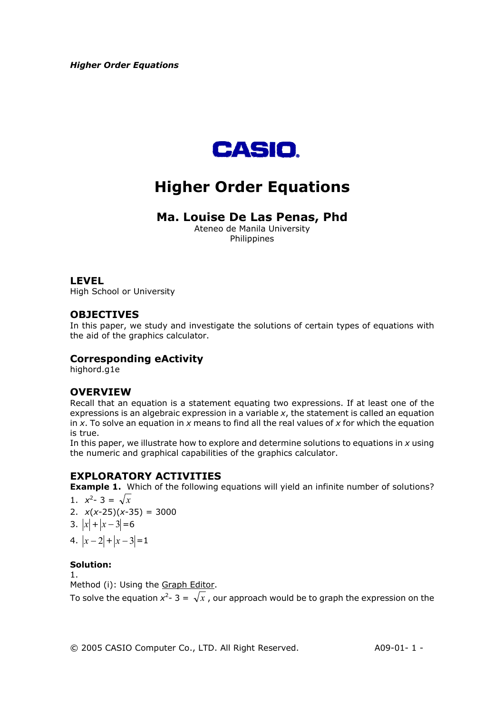

# **Higher Order Equations**

# **Ma. Louise De Las Penas, Phd**

Ateneo de Manila University Philippines

## **LEVEL**

High School or University

# **OBJECTIVES**

In this paper, we study and investigate the solutions of certain types of equations with the aid of the graphics calculator.

# **Corresponding eActivity**

highord.g1e

# **OVERVIEW**

Recall that an equation is a statement equating two expressions. If at least one of the expressions is an algebraic expression in a variable *x*, the statement is called an equation in *x*. To solve an equation in *x* means to find all the real values of *x* for which the equation is true.

In this paper, we illustrate how to explore and determine solutions to equations in *x* using the numeric and graphical capabilities of the graphics calculator.

# **EXPLORATORY ACTIVITIES**

**Example 1.** Which of the following equations will yield an infinite number of solutions? 1.  $x^2 - 3 = \sqrt{x}$ 

2.  $x(x-25)(x-35) = 3000$ 

3. 
$$
|x| + |x - 3| = 6
$$

$$
\begin{array}{c|cccc}\n & & & & & \\
\hline\n\end{array}
$$

$$
4. |x-2|+|x-3|=1
$$

## **Solution:**

1.

Method (i): Using the Graph Editor.

To solve the equation  $x^2$ - 3 =  $\sqrt{x}$  , our approach would be to graph the expression on the

© 2005 CASIO Computer Co., LTD. All Right Reserved. A09-01- 1 -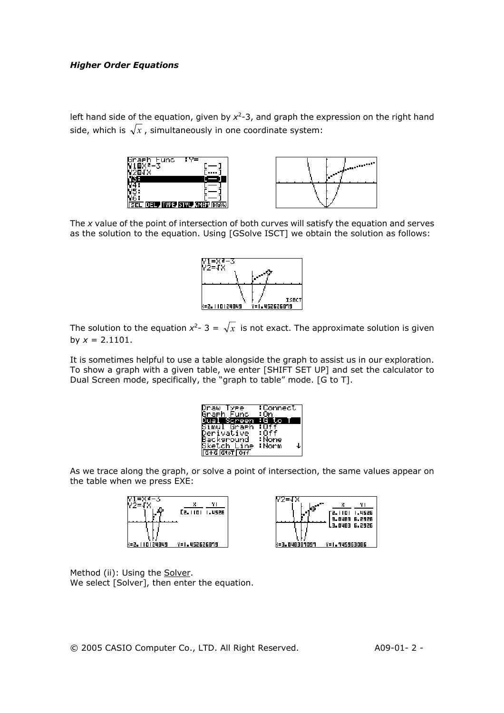left hand side of the equation, given by  $x^2$ -3, and graph the expression on the right hand side, which is  $\sqrt{x}$ , simultaneously in one coordinate system:





The *x* value of the point of intersection of both curves will satisfy the equation and serves as the solution to the equation. Using [GSolve ISCT] we obtain the solution as follows:



The solution to the equation  $x^2 - 3 = \sqrt{x}$  is not exact. The approximate solution is given by  $x = 2.1101$ .

It is sometimes helpful to use a table alongside the graph to assist us in our exploration. To show a graph with a given table, we enter [SHIFT SET UP] and set the calculator to Dual Screen mode, specifically, the "graph to table" mode. [G to T].

| Draw,<br>Туве                              | :Connect   |
|--------------------------------------------|------------|
| Graeh<br>Func.                             | :0n        |
| Dual<br>Screen                             | нG<br>æ    |
| Simul<br>Graeh                             |            |
| Derivative                                 | :0ff       |
| Backsround                                 | : None     |
| Sketch <u>Lin</u> e                        | ∶Norm<br>↓ |
| $G+G$ $Gt$ <sub>o</sub> T $G$ <sub>f</sub> |            |

As we trace along the graph, or solve a point of intersection, the same values appear on the table when we press EXE:





Method (ii): Using the Solver. We select [Solver], then enter the equation.

© 2005 CASIO Computer Co., LTD. All Right Reserved. A09-01- 2 -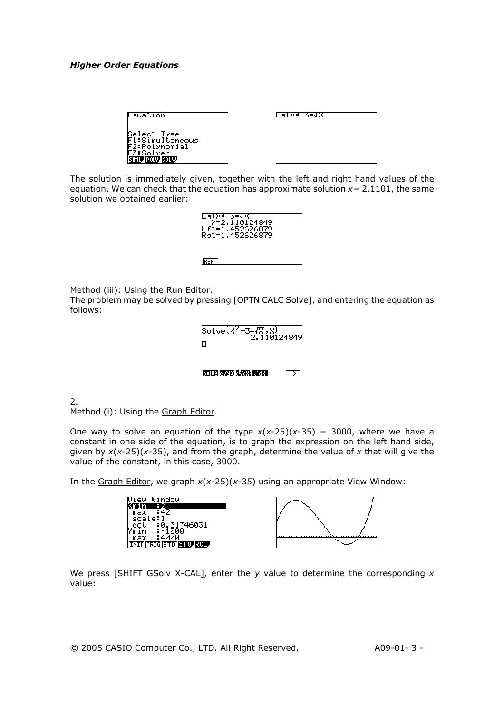| Equation                                                                   |  |
|----------------------------------------------------------------------------|--|
| Select Type<br>1:Simultaneous<br>7:Polynomial?<br>3:Solver<br>ML POLY SOLU |  |

| E4:X5-2=1X |  |
|------------|--|
|            |  |
|            |  |
|            |  |
|            |  |
|            |  |
|            |  |
|            |  |
|            |  |
|            |  |
|            |  |
|            |  |

The solution is immediately given, together with the left and right hand values of the equation. We can check that the equation has approximate solution  $x=$  2.1101, the same solution we obtained earlier:



Method (iii): Using the Run Editor.

The problem may be solved by pressing [OPTN CALC Solve], and entering the equation as follows:

| Solve $(x^2 - 3)$<br>2.118124849 |  |
|----------------------------------|--|
| Refuse a variable and some       |  |

2.

Method (i): Using the Graph Editor.

One way to solve an equation of the type  $x(x-25)(x-35) = 3000$ , where we have a constant in one side of the equation, is to graph the expression on the left hand side, given by *x*(*x*-25)(*x*-35), and from the graph, determine the value of *x* that will give the value of the constant, in this case, 3000.

In the Graph Editor, we graph *x*(*x*-25)(*x*-35) using an appropriate View Window:

| indow                          |  |
|--------------------------------|--|
|                                |  |
| max                            |  |
| scale:                         |  |
| :0.31746031                    |  |
|                                |  |
| max                            |  |
| <u>NIT ITRIGISTO STOP ROLL</u> |  |
|                                |  |

We press [SHIFT GSolv X-CAL], enter the *y* value to determine the corresponding *x*  value:

© 2005 CASIO Computer Co., LTD. All Right Reserved. A09-01- 3 -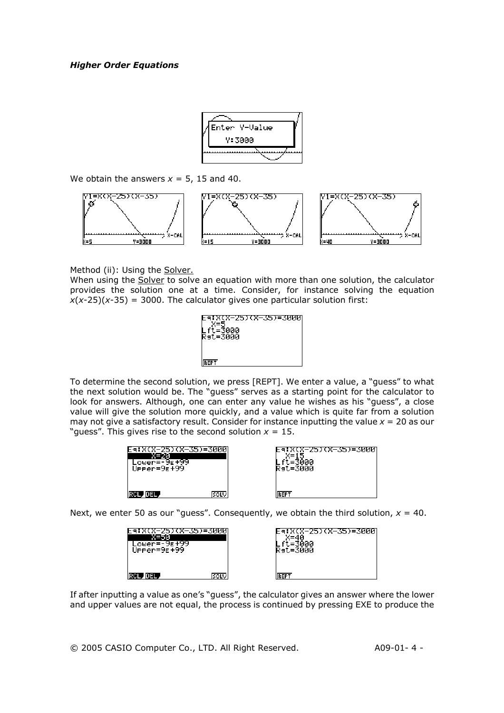

We obtain the answers  $x = 5$ , 15 and 40.



Method (ii): Using the Solver.

When using the Solver to solve an equation with more than one solution, the calculator provides the solution one at a time. Consider, for instance solving the equation  $x(x-25)(x-35) = 3000$ . The calculator gives one particular solution first:



To determine the second solution, we press [REPT]. We enter a value, a "guess" to what the next solution would be. The "guess" serves as a starting point for the calculator to look for answers. Although, one can enter any value he wishes as his "guess", a close value will give the solution more quickly, and a value which is quite far from a solution may not give a satisfactory result. Consider for instance inputting the value  $x = 20$  as our "quess". This gives rise to the second solution  $x = 15$ .

| ower<br>UPPer=9E+99 |  |
|---------------------|--|
|                     |  |
|                     |  |

| (X-25)(X-35)=3000<br>=3000<br>Rаt=Зййй |  |
|----------------------------------------|--|
| EPT                                    |  |

Next, we enter 50 as our "guess". Consequently, we obtain the third solution,  $x = 40$ .

| ower=-9E√<br>Upper=9E+99 | 5)(X-35)=3000 | 7(X-25)(X-35)=3000<br>Rat=3000 |  |
|--------------------------|---------------|--------------------------------|--|
| unsu                     | <b>SOLV</b>   | DED                            |  |

If after inputting a value as one's "guess", the calculator gives an answer where the lower and upper values are not equal, the process is continued by pressing EXE to produce the

© 2005 CASIO Computer Co., LTD. All Right Reserved. A09-01- 4 -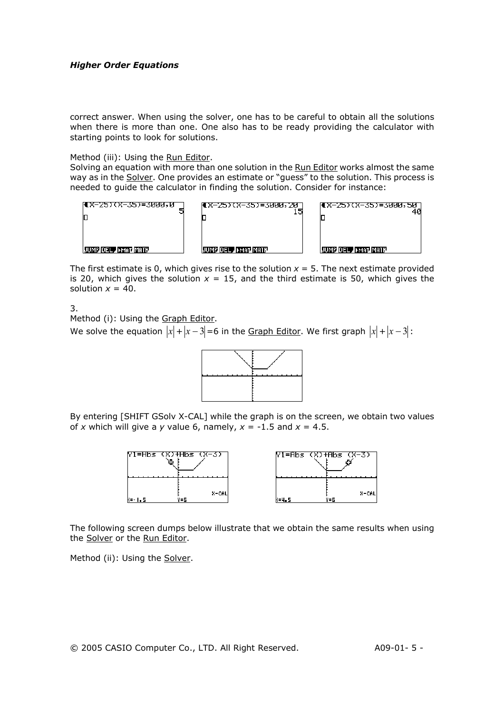correct answer. When using the solver, one has to be careful to obtain all the solutions when there is more than one. One also has to be ready providing the calculator with starting points to look for solutions.

#### Method (iii): Using the Run Editor.

Solving an equation with more than one solution in the Run Editor works almost the same way as in the Solver. One provides an estimate or "guess" to the solution. This process is needed to guide the calculator in finding the solution. Consider for instance:



The first estimate is 0, which gives rise to the solution  $x = 5$ . The next estimate provided is 20, which gives the solution  $x = 15$ , and the third estimate is 50, which gives the solution  $x = 40$ .

3.

Method (i): Using the Graph Editor.

We solve the equation  $|x| + |x-3| = 6$  in the Graph Editor. We first graph  $|x| + |x-3|$ :



By entering [SHIFT GSolv X-CAL] while the graph is on the screen, we obtain two values of *x* which will give a *y* value 6, namely,  $x = -1.5$  and  $x = 4.5$ .



The following screen dumps below illustrate that we obtain the same results when using the Solver or the Run Editor.

Method (ii): Using the Solver.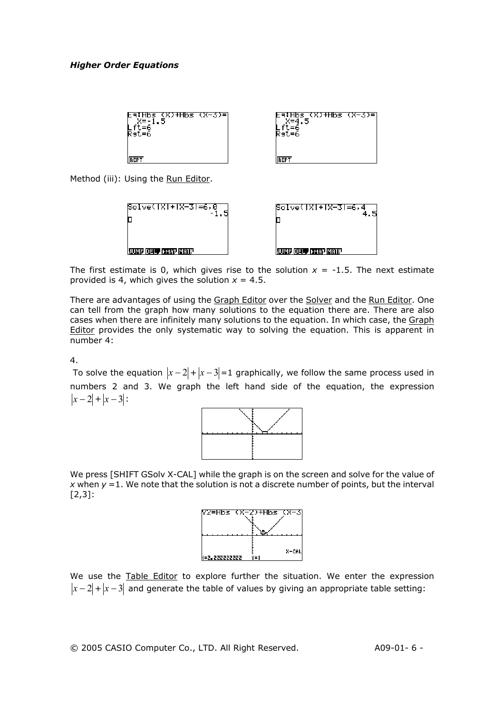

Method (iii): Using the Run Editor.



The first estimate is 0, which gives rise to the solution  $x = -1.5$ . The next estimate provided is 4, which gives the solution  $x = 4.5$ .

There are advantages of using the Graph Editor over the Solver and the Run Editor. One can tell from the graph how many solutions to the equation there are. There are also cases when there are infinitely many solutions to the equation. In which case, the Graph Editor provides the only systematic way to solving the equation. This is apparent in number 4:

4.

To solve the equation  $|x-2|+|x-3|=1$  graphically, we follow the same process used in numbers 2 and 3. We graph the left hand side of the equation, the expression  $|x-2|+|x-3|$ :



We press [SHIFT GSolv X-CAL] while the graph is on the screen and solve for the value of *x* when  $y = 1$ . We note that the solution is not a discrete number of points, but the interval [2,3]:



We use the Table Editor to explore further the situation. We enter the expression  $|x-2|+|x-3|$  and generate the table of values by giving an appropriate table setting: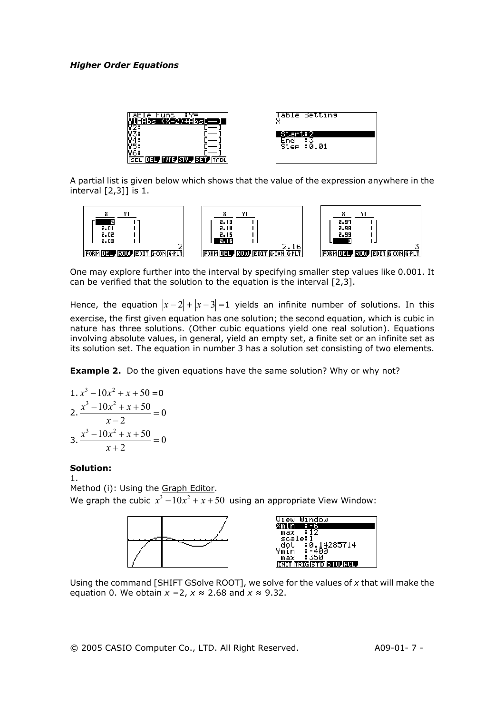

A partial list is given below which shows that the value of the expression anywhere in the interval [2,3]] is 1.



One may explore further into the interval by specifying smaller step values like 0.001. It can be verified that the solution to the equation is the interval [2,3].

Hence, the equation  $|x-2|+|x-3|=1$  yields an infinite number of solutions. In this exercise, the first given equation has one solution; the second equation, which is cubic in nature has three solutions. (Other cubic equations yield one real solution). Equations involving absolute values, in general, yield an empty set, a finite set or an infinite set as its solution set. The equation in number 3 has a solution set consisting of two elements.

**Example 2.** Do the given equations have the same solution? Why or why not?

1. 
$$
x^3 - 10x^2 + x + 50 = 0
$$
  
\n2. 
$$
\frac{x^3 - 10x^2 + x + 50}{x - 2} = 0
$$
\n3. 
$$
\frac{x^3 - 10x^2 + x + 50}{x + 2} = 0
$$

#### **Solution:**

1.

Method (i): Using the Graph Editor. We graph the cubic  $x^3 - 10x^2 + x + 50$  using an appropriate View Window:



Using the command [SHIFT GSolve ROOT], we solve for the values of *x* that will make the equation 0. We obtain  $x = 2$ ,  $x \approx 2.68$  and  $x \approx 9.32$ .

© 2005 CASIO Computer Co., LTD. All Right Reserved. A09-01- 7 -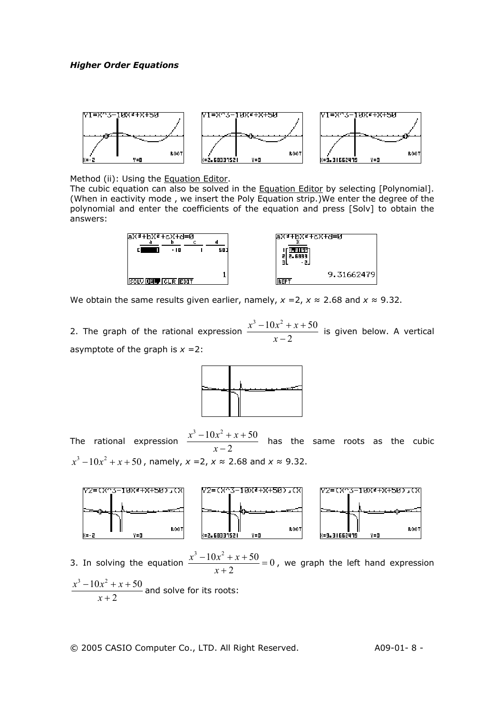

Method (ii): Using the **Equation Editor**.

The cubic equation can also be solved in the **Equation Editor** by selecting [Polynomial]. (When in eactivity mode , we insert the Poly Equation strip.)We enter the degree of the polynomial and enter the coefficients of the equation and press [Solv] to obtain the answers:



We obtain the same results given earlier, namely,  $x = 2$ ,  $x \approx 2.68$  and  $x \approx 9.32$ .

2. The graph of the rational expression <sup>2</sup>  $3 - 10x^2 + x + 50$ −  $-10x^2 + x +$ *x*  $\frac{x^3-10x^2+x+50}{2}$  is given below. A vertical asymptote of the graph is  $x = 2$ :



The rational expression  $\frac{x}{x-2}$  $3 - 10x^2 + x + 50$ −  $-10x^2 + x +$ *x*  $\frac{x^3-10x^2+x+50}{2}$  has the same roots as the cubic  $x^3 - 10x^2 + x + 50$ , namely, *x* = 2, *x* ≈ 2.68 and *x* ≈ 9.32.



3. In solving the equation  $\frac{x-10x+x+50}{2}=0$ 2  $3 - 10x^2 + x + 50$  $\frac{-10x^2 + x + 50}{x + 2} =$ *x*  $\frac{x^3-10x^2+x+50}{2}=0$ , we graph the left hand expression 2  $3 - 10x^2 + x + 50$ +  $-10x^2 + x +$ *x*  $\frac{x^3-10x^2+x+50}{2}$  and solve for its roots:

© 2005 CASIO Computer Co., LTD. All Right Reserved. A09-01- 8 -